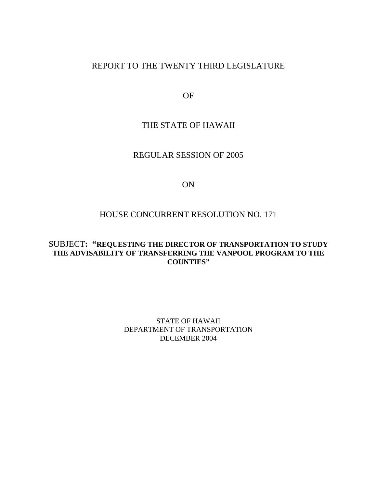# REPORT TO THE TWENTY THIRD LEGISLATURE

OF

# THE STATE OF HAWAII

### REGULAR SESSION OF 2005

#### ON

## HOUSE CONCURRENT RESOLUTION NO. 171

### SUBJECT**: "REQUESTING THE DIRECTOR OF TRANSPORTATION TO STUDY THE ADVISABILITY OF TRANSFERRING THE VANPOOL PROGRAM TO THE COUNTIES"**

STATE OF HAWAII DEPARTMENT OF TRANSPORTATION DECEMBER 2004